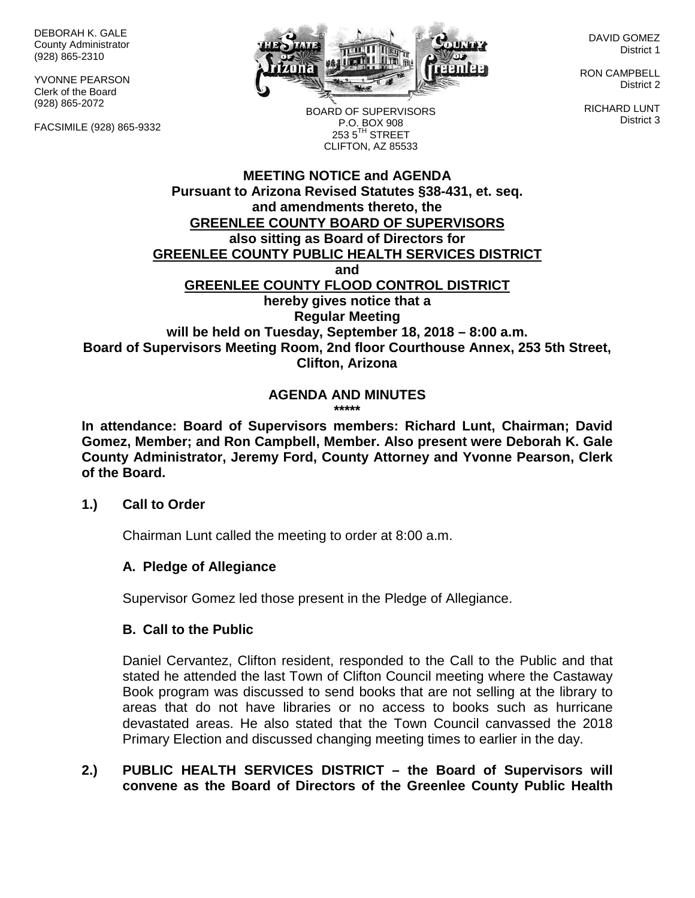DEBORAH K. GALE County Administrator (928) 865-2310

YVONNE PEARSON Clerk of the Board (928) 865-2072

FACSIMILE (928) 865-9332



DAVID GOMEZ District 1

RON CAMPBELL District 2

RICHARD LUNT District 3

BOARD OF SUPERVISORS P.O. BOX 908  $253.5$ <sup>TH</sup> STREET CLIFTON, AZ 85533

# **MEETING NOTICE and AGENDA Pursuant to Arizona Revised Statutes §38-431, et. seq. and amendments thereto, the GREENLEE COUNTY BOARD OF SUPERVISORS also sitting as Board of Directors for GREENLEE COUNTY PUBLIC HEALTH SERVICES DISTRICT and GREENLEE COUNTY FLOOD CONTROL DISTRICT hereby gives notice that a Regular Meeting will be held on Tuesday, September 18, 2018 – 8:00 a.m. Board of Supervisors Meeting Room, 2nd floor Courthouse Annex, 253 5th Street, Clifton, Arizona**

#### **AGENDA AND MINUTES \*\*\*\*\***

**In attendance: Board of Supervisors members: Richard Lunt, Chairman; David Gomez, Member; and Ron Campbell, Member. Also present were Deborah K. Gale County Administrator, Jeremy Ford, County Attorney and Yvonne Pearson, Clerk of the Board.**

# **1.) Call to Order**

Chairman Lunt called the meeting to order at 8:00 a.m.

# **A. Pledge of Allegiance**

Supervisor Gomez led those present in the Pledge of Allegiance.

# **B. Call to the Public**

Daniel Cervantez, Clifton resident, responded to the Call to the Public and that stated he attended the last Town of Clifton Council meeting where the Castaway Book program was discussed to send books that are not selling at the library to areas that do not have libraries or no access to books such as hurricane devastated areas. He also stated that the Town Council canvassed the 2018 Primary Election and discussed changing meeting times to earlier in the day.

# **2.) PUBLIC HEALTH SERVICES DISTRICT – the Board of Supervisors will convene as the Board of Directors of the Greenlee County Public Health**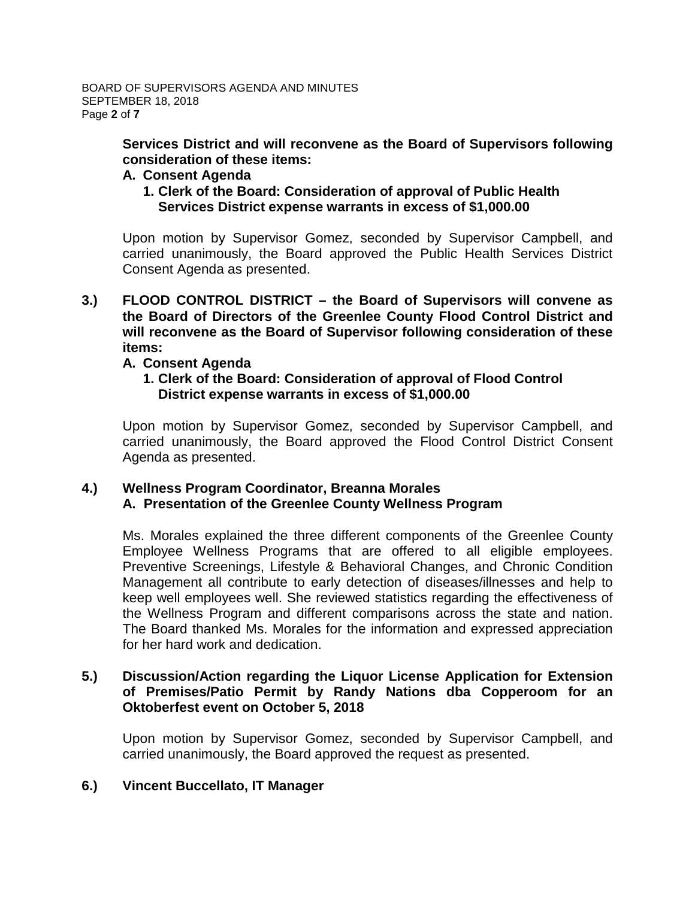**Services District and will reconvene as the Board of Supervisors following consideration of these items:**

### **A. Consent Agenda**

**1. Clerk of the Board: Consideration of approval of Public Health Services District expense warrants in excess of \$1,000.00**

Upon motion by Supervisor Gomez, seconded by Supervisor Campbell, and carried unanimously, the Board approved the Public Health Services District Consent Agenda as presented.

**3.) FLOOD CONTROL DISTRICT – the Board of Supervisors will convene as the Board of Directors of the Greenlee County Flood Control District and will reconvene as the Board of Supervisor following consideration of these items:**

### **A. Consent Agenda**

### **1. Clerk of the Board: Consideration of approval of Flood Control District expense warrants in excess of \$1,000.00**

Upon motion by Supervisor Gomez, seconded by Supervisor Campbell, and carried unanimously, the Board approved the Flood Control District Consent Agenda as presented.

### **4.) Wellness Program Coordinator, Breanna Morales A. Presentation of the Greenlee County Wellness Program**

Ms. Morales explained the three different components of the Greenlee County Employee Wellness Programs that are offered to all eligible employees. Preventive Screenings, Lifestyle & Behavioral Changes, and Chronic Condition Management all contribute to early detection of diseases/illnesses and help to keep well employees well. She reviewed statistics regarding the effectiveness of the Wellness Program and different comparisons across the state and nation. The Board thanked Ms. Morales for the information and expressed appreciation for her hard work and dedication.

# **5.) Discussion/Action regarding the Liquor License Application for Extension of Premises/Patio Permit by Randy Nations dba Copperoom for an Oktoberfest event on October 5, 2018**

Upon motion by Supervisor Gomez, seconded by Supervisor Campbell, and carried unanimously, the Board approved the request as presented.

# **6.) Vincent Buccellato, IT Manager**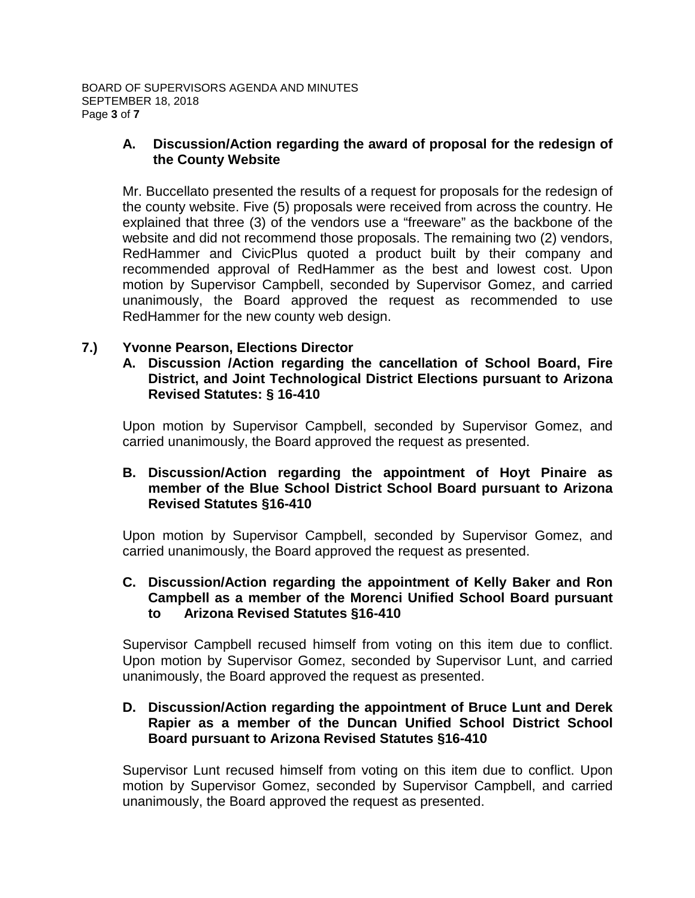BOARD OF SUPERVISORS AGENDA AND MINUTES SEPTEMBER 18, 2018 Page **3** of **7**

### **A. Discussion/Action regarding the award of proposal for the redesign of the County Website**

Mr. Buccellato presented the results of a request for proposals for the redesign of the county website. Five (5) proposals were received from across the country. He explained that three (3) of the vendors use a "freeware" as the backbone of the website and did not recommend those proposals. The remaining two (2) vendors, RedHammer and CivicPlus quoted a product built by their company and recommended approval of RedHammer as the best and lowest cost. Upon motion by Supervisor Campbell, seconded by Supervisor Gomez, and carried unanimously, the Board approved the request as recommended to use RedHammer for the new county web design.

# **7.) Yvonne Pearson, Elections Director**

**A. Discussion /Action regarding the cancellation of School Board, Fire District, and Joint Technological District Elections pursuant to Arizona Revised Statutes: § 16-410**

Upon motion by Supervisor Campbell, seconded by Supervisor Gomez, and carried unanimously, the Board approved the request as presented.

# **B. Discussion/Action regarding the appointment of Hoyt Pinaire as member of the Blue School District School Board pursuant to Arizona Revised Statutes §16-410**

Upon motion by Supervisor Campbell, seconded by Supervisor Gomez, and carried unanimously, the Board approved the request as presented.

# **C. Discussion/Action regarding the appointment of Kelly Baker and Ron Campbell as a member of the Morenci Unified School Board pursuant to Arizona Revised Statutes §16-410**

Supervisor Campbell recused himself from voting on this item due to conflict. Upon motion by Supervisor Gomez, seconded by Supervisor Lunt, and carried unanimously, the Board approved the request as presented.

# **D. Discussion/Action regarding the appointment of Bruce Lunt and Derek Rapier as a member of the Duncan Unified School District School Board pursuant to Arizona Revised Statutes §16-410**

Supervisor Lunt recused himself from voting on this item due to conflict. Upon motion by Supervisor Gomez, seconded by Supervisor Campbell, and carried unanimously, the Board approved the request as presented.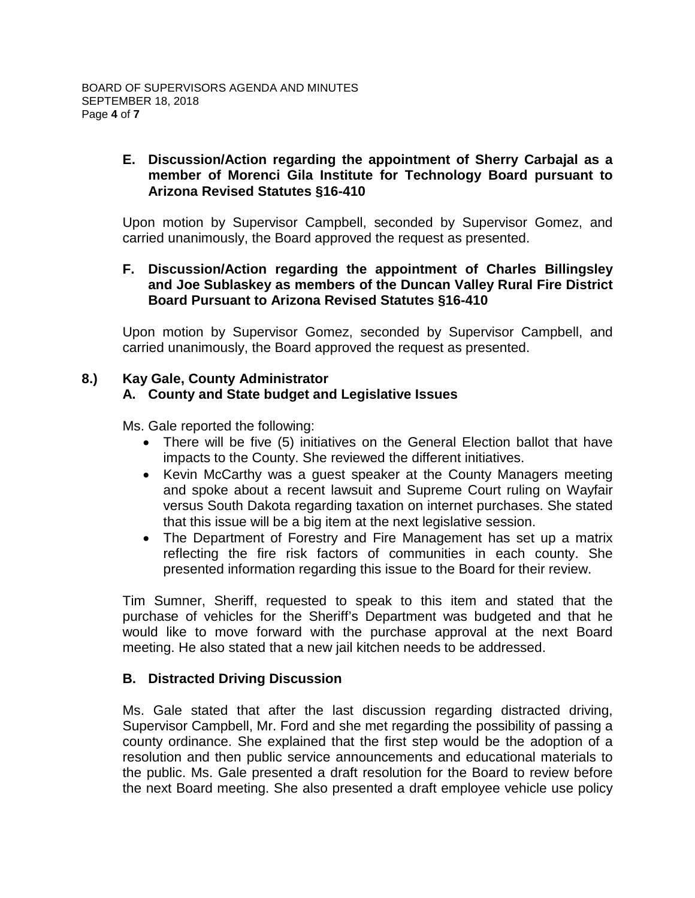# **E. Discussion/Action regarding the appointment of Sherry Carbajal as a member of Morenci Gila Institute for Technology Board pursuant to Arizona Revised Statutes §16-410**

Upon motion by Supervisor Campbell, seconded by Supervisor Gomez, and carried unanimously, the Board approved the request as presented.

# **F. Discussion/Action regarding the appointment of Charles Billingsley and Joe Sublaskey as members of the Duncan Valley Rural Fire District Board Pursuant to Arizona Revised Statutes §16-410**

Upon motion by Supervisor Gomez, seconded by Supervisor Campbell, and carried unanimously, the Board approved the request as presented.

# **8.) Kay Gale, County Administrator**

# **A. County and State budget and Legislative Issues**

Ms. Gale reported the following:

- There will be five (5) initiatives on the General Election ballot that have impacts to the County. She reviewed the different initiatives.
- Kevin McCarthy was a guest speaker at the County Managers meeting and spoke about a recent lawsuit and Supreme Court ruling on Wayfair versus South Dakota regarding taxation on internet purchases. She stated that this issue will be a big item at the next legislative session.
- The Department of Forestry and Fire Management has set up a matrix reflecting the fire risk factors of communities in each county. She presented information regarding this issue to the Board for their review.

Tim Sumner, Sheriff, requested to speak to this item and stated that the purchase of vehicles for the Sheriff's Department was budgeted and that he would like to move forward with the purchase approval at the next Board meeting. He also stated that a new jail kitchen needs to be addressed.

# **B. Distracted Driving Discussion**

Ms. Gale stated that after the last discussion regarding distracted driving, Supervisor Campbell, Mr. Ford and she met regarding the possibility of passing a county ordinance. She explained that the first step would be the adoption of a resolution and then public service announcements and educational materials to the public. Ms. Gale presented a draft resolution for the Board to review before the next Board meeting. She also presented a draft employee vehicle use policy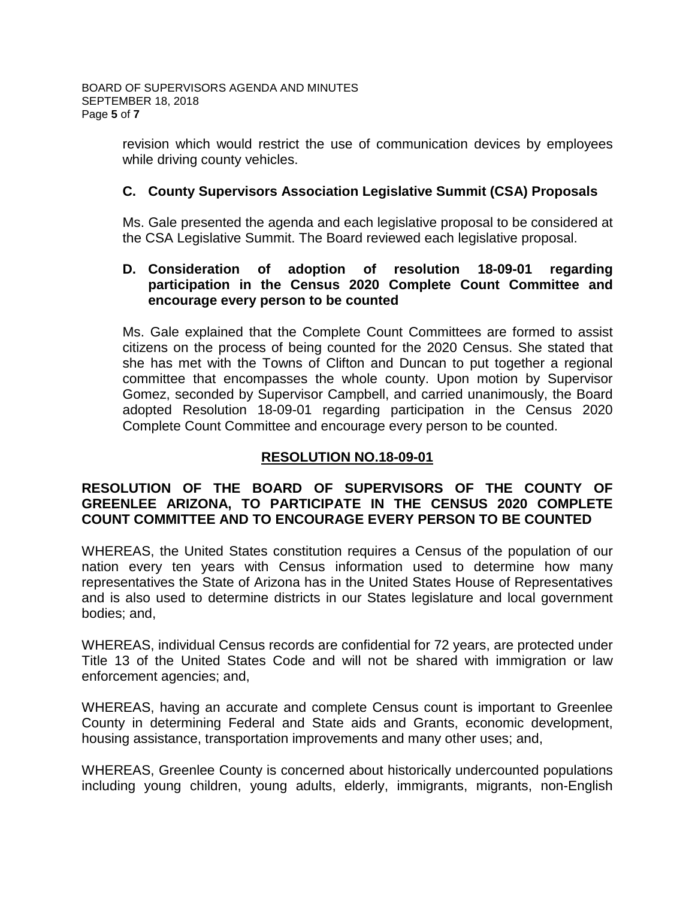revision which would restrict the use of communication devices by employees while driving county vehicles.

# **C. County Supervisors Association Legislative Summit (CSA) Proposals**

Ms. Gale presented the agenda and each legislative proposal to be considered at the CSA Legislative Summit. The Board reviewed each legislative proposal.

## **D. Consideration of adoption of resolution 18-09-01 regarding participation in the Census 2020 Complete Count Committee and encourage every person to be counted**

Ms. Gale explained that the Complete Count Committees are formed to assist citizens on the process of being counted for the 2020 Census. She stated that she has met with the Towns of Clifton and Duncan to put together a regional committee that encompasses the whole county. Upon motion by Supervisor Gomez, seconded by Supervisor Campbell, and carried unanimously, the Board adopted Resolution 18-09-01 regarding participation in the Census 2020 Complete Count Committee and encourage every person to be counted.

# **RESOLUTION NO.18-09-01**

# **RESOLUTION OF THE BOARD OF SUPERVISORS OF THE COUNTY OF GREENLEE ARIZONA, TO PARTICIPATE IN THE CENSUS 2020 COMPLETE COUNT COMMITTEE AND TO ENCOURAGE EVERY PERSON TO BE COUNTED**

WHEREAS, the United States constitution requires a Census of the population of our nation every ten years with Census information used to determine how many representatives the State of Arizona has in the United States House of Representatives and is also used to determine districts in our States legislature and local government bodies; and,

WHEREAS, individual Census records are confidential for 72 years, are protected under Title 13 of the United States Code and will not be shared with immigration or law enforcement agencies; and,

WHEREAS, having an accurate and complete Census count is important to Greenlee County in determining Federal and State aids and Grants, economic development, housing assistance, transportation improvements and many other uses; and,

WHEREAS, Greenlee County is concerned about historically undercounted populations including young children, young adults, elderly, immigrants, migrants, non-English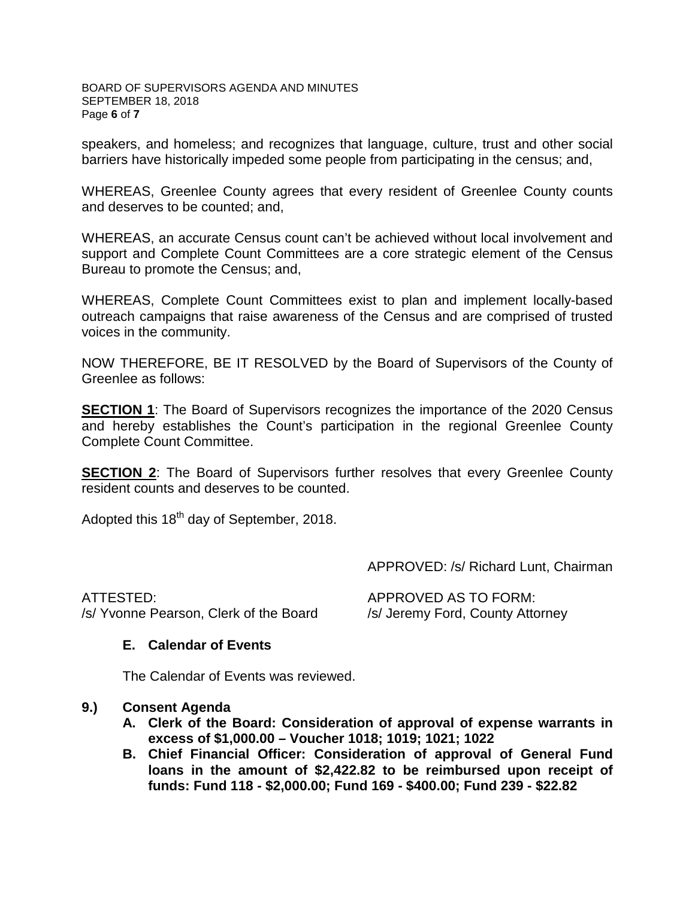#### BOARD OF SUPERVISORS AGENDA AND MINUTES SEPTEMBER 18, 2018 Page **6** of **7**

speakers, and homeless; and recognizes that language, culture, trust and other social barriers have historically impeded some people from participating in the census; and,

WHEREAS, Greenlee County agrees that every resident of Greenlee County counts and deserves to be counted; and,

WHEREAS, an accurate Census count can't be achieved without local involvement and support and Complete Count Committees are a core strategic element of the Census Bureau to promote the Census; and,

WHEREAS, Complete Count Committees exist to plan and implement locally-based outreach campaigns that raise awareness of the Census and are comprised of trusted voices in the community.

NOW THEREFORE, BE IT RESOLVED by the Board of Supervisors of the County of Greenlee as follows:

**SECTION 1:** The Board of Supervisors recognizes the importance of the 2020 Census and hereby establishes the Count's participation in the regional Greenlee County Complete Count Committee.

**SECTION 2:** The Board of Supervisors further resolves that every Greenlee County resident counts and deserves to be counted.

Adopted this 18<sup>th</sup> day of September, 2018.

APPROVED: /s/ Richard Lunt, Chairman

ATTESTED: APPROVED AS TO FORM: /s/ Yvonne Pearson, Clerk of the Board /s/ Jeremy Ford, County Attorney

# **E. Calendar of Events**

The Calendar of Events was reviewed.

# **9.) Consent Agenda**

- **A. Clerk of the Board: Consideration of approval of expense warrants in excess of \$1,000.00 – Voucher 1018; 1019; 1021; 1022**
- **B. Chief Financial Officer: Consideration of approval of General Fund loans in the amount of \$2,422.82 to be reimbursed upon receipt of funds: Fund 118 - \$2,000.00; Fund 169 - \$400.00; Fund 239 - \$22.82**